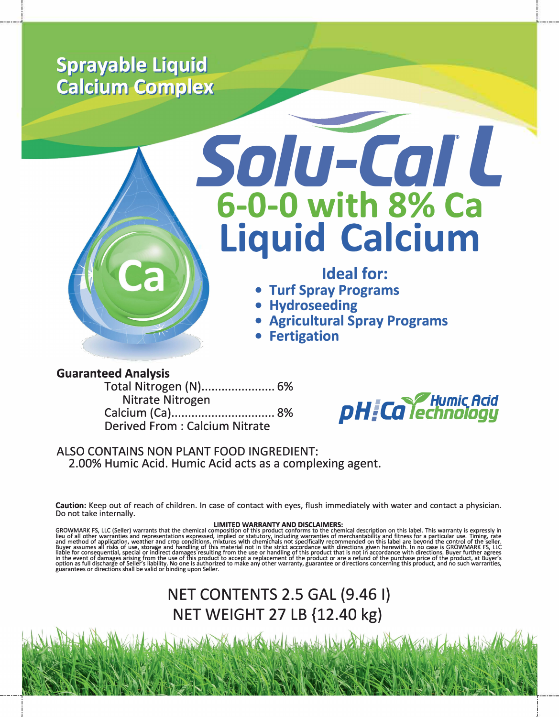# **Sprayable Liquid Calcium Complex**



# Solu-Cal L 6-0-0 with 8% Ca **Liquid Calcium**

## Ideal for:

- Turf Spray Programs
- Hydroseeding
- Agricultural Spray Programs
- **Fertigation**

## **Guaranteed Analysis**

Total Nitrogen (N)....................... 6% Nitrate Nitrogen Derived From · Calcium Nitrate



## ALSO CONTAINS NON PLANT FOOD INGREDIENT: 2.00% Humic Acid. Humic Acid acts as a complexing agent.

Caution: Keep out of reach of children. In case of contact with eves, flush immediately with water and contact a physician. Do not take internally.

**GROWMARK FS, LLC (Seller) warrants that the chemical composition of this product conforms to the chemical description on this label. This warranty is expressly in lieu of all other warrants that the chemical composition o** 

# NET CONTENTS 2.5 GAL (9.461) NET WEIGHT 27 LB {12.40 kg}

Which the state of the state of the state of the state of the state of the state of the state of the state of the state of the state of the state of the state of the state of the state of the state of the state of the stat